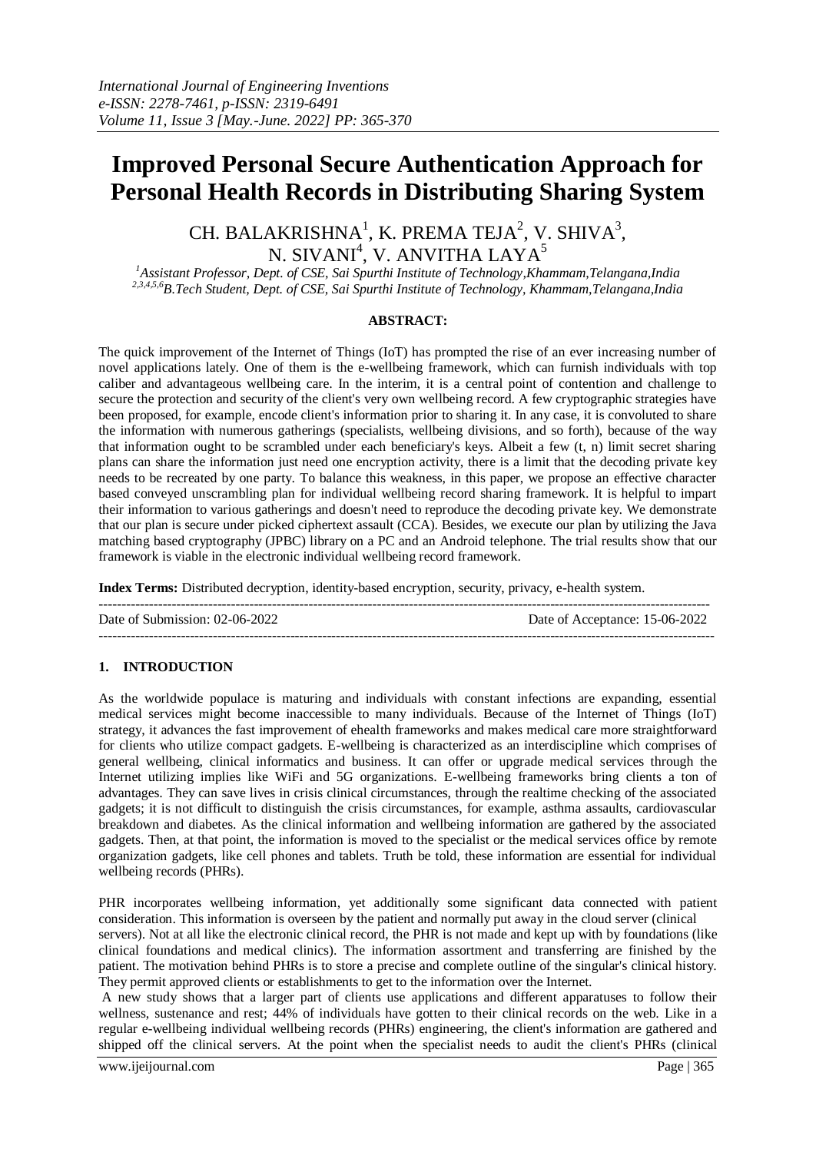# **Improved Personal Secure Authentication Approach for Personal Health Records in Distributing Sharing System**

CH. BALAKRISHNA<sup>1</sup>, K. PREMA TEJA<sup>2</sup>, V. SHIVA<sup>3</sup>, N. SIVANI $^4$ , V. ANVITHA LAYA $^5$ 

*<sup>1</sup>Assistant Professor, Dept. of CSE, Sai Spurthi Institute of Technology,Khammam,Telangana,India 2,3,4,5,6B.Tech Student, Dept. of CSE, Sai Spurthi Institute of Technology, Khammam,Telangana,India*

## **ABSTRACT:**

The quick improvement of the Internet of Things (IoT) has prompted the rise of an ever increasing number of novel applications lately. One of them is the e-wellbeing framework, which can furnish individuals with top caliber and advantageous wellbeing care. In the interim, it is a central point of contention and challenge to secure the protection and security of the client's very own wellbeing record. A few cryptographic strategies have been proposed, for example, encode client's information prior to sharing it. In any case, it is convoluted to share the information with numerous gatherings (specialists, wellbeing divisions, and so forth), because of the way that information ought to be scrambled under each beneficiary's keys. Albeit a few (t, n) limit secret sharing plans can share the information just need one encryption activity, there is a limit that the decoding private key needs to be recreated by one party. To balance this weakness, in this paper, we propose an effective character based conveyed unscrambling plan for individual wellbeing record sharing framework. It is helpful to impart their information to various gatherings and doesn't need to reproduce the decoding private key. We demonstrate that our plan is secure under picked ciphertext assault (CCA). Besides, we execute our plan by utilizing the Java matching based cryptography (JPBC) library on a PC and an Android telephone. The trial results show that our framework is viable in the electronic individual wellbeing record framework.

**Index Terms:** Distributed decryption, identity-based encryption, security, privacy, e-health system.

-------------------------------------------------------------------------------------------------------------------------------------- Date of Submission: 02-06-2022 Date of Acceptance: 15-06-2022 ---------------------------------------------------------------------------------------------------------------------------------------

# **1. INTRODUCTION**

As the worldwide populace is maturing and individuals with constant infections are expanding, essential medical services might become inaccessible to many individuals. Because of the Internet of Things (IoT) strategy, it advances the fast improvement of ehealth frameworks and makes medical care more straightforward for clients who utilize compact gadgets. E-wellbeing is characterized as an interdiscipline which comprises of general wellbeing, clinical informatics and business. It can offer or upgrade medical services through the Internet utilizing implies like WiFi and 5G organizations. E-wellbeing frameworks bring clients a ton of advantages. They can save lives in crisis clinical circumstances, through the realtime checking of the associated gadgets; it is not difficult to distinguish the crisis circumstances, for example, asthma assaults, cardiovascular breakdown and diabetes. As the clinical information and wellbeing information are gathered by the associated gadgets. Then, at that point, the information is moved to the specialist or the medical services office by remote organization gadgets, like cell phones and tablets. Truth be told, these information are essential for individual wellbeing records (PHRs).

PHR incorporates wellbeing information, yet additionally some significant data connected with patient consideration. This information is overseen by the patient and normally put away in the cloud server (clinical servers). Not at all like the electronic clinical record, the PHR is not made and kept up with by foundations (like clinical foundations and medical clinics). The information assortment and transferring are finished by the patient. The motivation behind PHRs is to store a precise and complete outline of the singular's clinical history. They permit approved clients or establishments to get to the information over the Internet.

A new study shows that a larger part of clients use applications and different apparatuses to follow their wellness, sustenance and rest; 44% of individuals have gotten to their clinical records on the web. Like in a regular e-wellbeing individual wellbeing records (PHRs) engineering, the client's information are gathered and shipped off the clinical servers. At the point when the specialist needs to audit the client's PHRs (clinical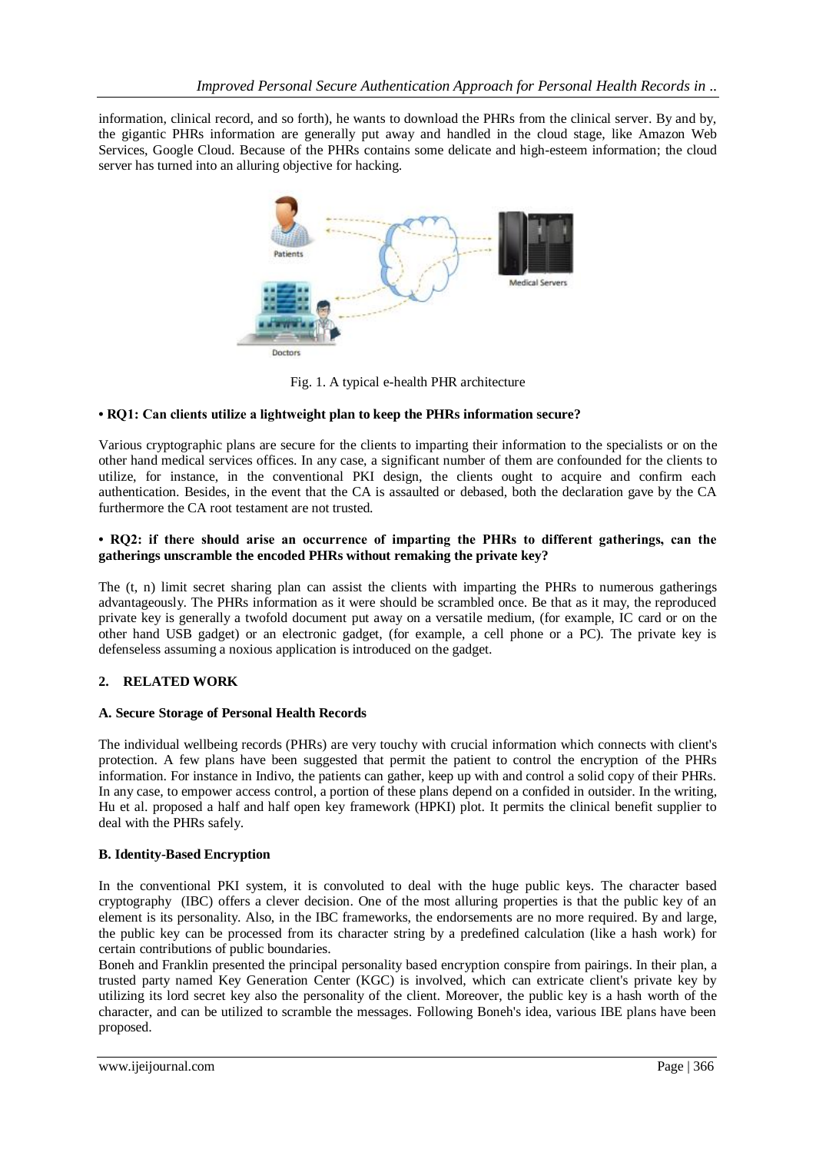information, clinical record, and so forth), he wants to download the PHRs from the clinical server. By and by, the gigantic PHRs information are generally put away and handled in the cloud stage, like Amazon Web Services, Google Cloud. Because of the PHRs contains some delicate and high-esteem information; the cloud server has turned into an alluring objective for hacking.



Fig. 1. A typical e-health PHR architecture

# **• RQ1: Can clients utilize a lightweight plan to keep the PHRs information secure?**

Various cryptographic plans are secure for the clients to imparting their information to the specialists or on the other hand medical services offices. In any case, a significant number of them are confounded for the clients to utilize, for instance, in the conventional PKI design, the clients ought to acquire and confirm each authentication. Besides, in the event that the CA is assaulted or debased, both the declaration gave by the CA furthermore the CA root testament are not trusted.

# **• RQ2: if there should arise an occurrence of imparting the PHRs to different gatherings, can the gatherings unscramble the encoded PHRs without remaking the private key?**

The (t, n) limit secret sharing plan can assist the clients with imparting the PHRs to numerous gatherings advantageously. The PHRs information as it were should be scrambled once. Be that as it may, the reproduced private key is generally a twofold document put away on a versatile medium, (for example, IC card or on the other hand USB gadget) or an electronic gadget, (for example, a cell phone or a PC). The private key is defenseless assuming a noxious application is introduced on the gadget.

# **2. RELATED WORK**

# **A. Secure Storage of Personal Health Records**

The individual wellbeing records (PHRs) are very touchy with crucial information which connects with client's protection. A few plans have been suggested that permit the patient to control the encryption of the PHRs information. For instance in Indivo, the patients can gather, keep up with and control a solid copy of their PHRs. In any case, to empower access control, a portion of these plans depend on a confided in outsider. In the writing, Hu et al. proposed a half and half open key framework (HPKI) plot. It permits the clinical benefit supplier to deal with the PHRs safely.

# **B. Identity-Based Encryption**

In the conventional PKI system, it is convoluted to deal with the huge public keys. The character based cryptography (IBC) offers a clever decision. One of the most alluring properties is that the public key of an element is its personality. Also, in the IBC frameworks, the endorsements are no more required. By and large, the public key can be processed from its character string by a predefined calculation (like a hash work) for certain contributions of public boundaries.

Boneh and Franklin presented the principal personality based encryption conspire from pairings. In their plan, a trusted party named Key Generation Center (KGC) is involved, which can extricate client's private key by utilizing its lord secret key also the personality of the client. Moreover, the public key is a hash worth of the character, and can be utilized to scramble the messages. Following Boneh's idea, various IBE plans have been proposed.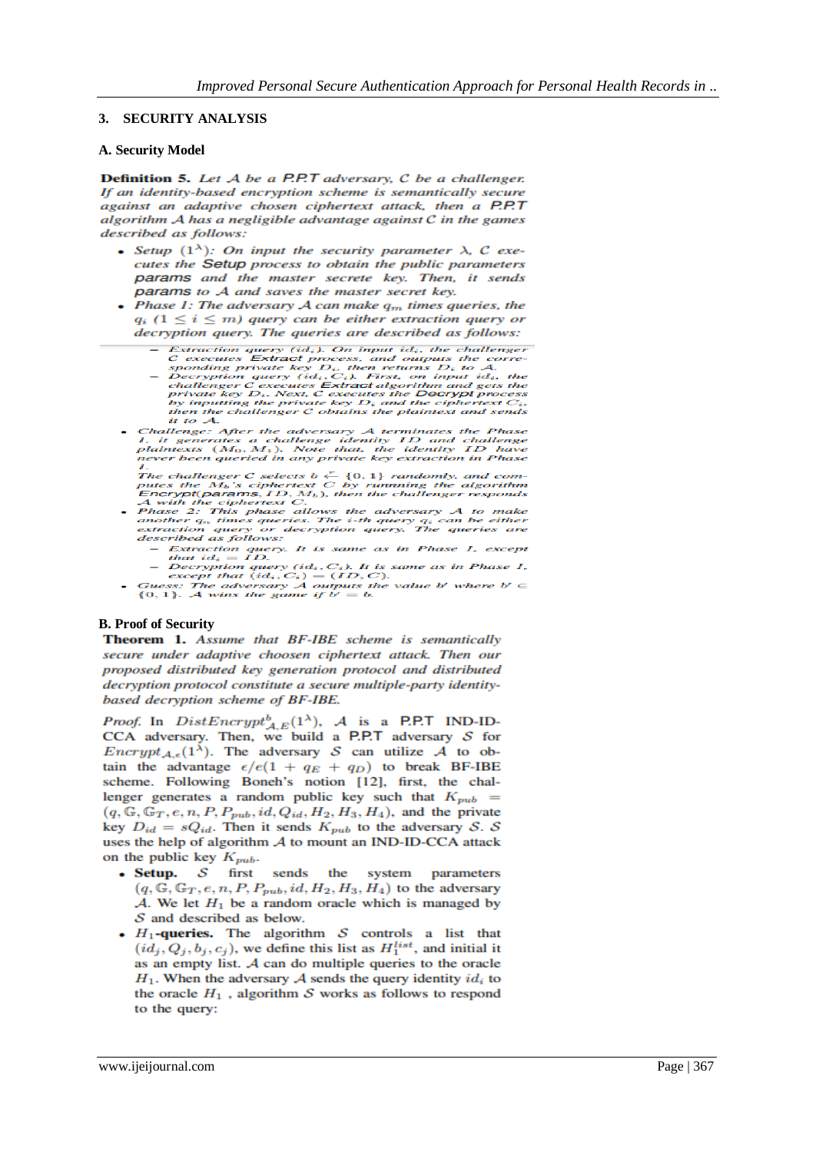#### **3. SECURITY ANALYSIS**

#### **A. Security Model**

Definition 5. Let A be a P.P.T adversary, C be a challenger. If an identity-based encryption scheme is semantically secure against an adaptive chosen ciphertext attack, then a P.P.T algorithm  $A$  has a negligible advantage against  $C$  in the games described as follows:

- Setup  $(1^{\lambda})$ : On input the security parameter  $\lambda$ , C executes the Setup process to obtain the public parameters params and the master secrete key. Then, it sends params to A and saves the master secret key.
- Phase 1: The adversary  $A$  can make  $q_m$  times queries, the  $q_i$  ( $1 \le i \le m$ ) query can be either extraction query or decryption query. The queries are described as follows:
	-
	- Extraction query (id<sub>i</sub>). On input id<sub>i</sub>, the challenger<br>
	C executes Extract process, and outputs the corre-<br>
	corresponding private key  $D_i$ , then returns  $D_i$  to  $A_i$ .<br>
	 Decryption query (id<sub>i</sub>, C<sub>i</sub>). First, on input it to  $A$ .
- Challenge: After the adversary  $A$  terminates the Phase<br>1, it generates a challenge identity  $ID$  and challenge<br>plaintexts  $(M_0, M_1)$ . Note that, the identity  $ID$  have<br>never been queried in any private key extraction in Ph

- 1.<br>The challenger C selects  $b \stackrel{r}{\leftarrow} \{0,1\}$  randomly, and com-<br>putes the  $M_b$ 's ciphertext C by running the algorithm<br>Encrypt(params, ID, M<sub>b</sub>), then the challenger responds<br>A with the ciphertext C.<br>Phase 2: This pha
	-
	-
- *ascribed as jouons:*<br>  $\therefore$  Extraction query. It is same as in Phase 1, except<br>
that  $id_i = ID$ .<br>  $\therefore$  Decryption query  $(id_i, C_i)$ . It is same as in Phase 1,<br>  $\therefore$  except that  $(id_i, C_i) = (ID, C)$ .<br>
Guess: The adversary A outputs

#### **B. Proof of Security**

Theorem 1. Assume that BF-IBE scheme is semantically secure under adaptive choosen ciphertext attack. Then our proposed distributed key generation protocol and distributed decryption protocol constitute a secure multiple-party identitybased decryption scheme of BF-IBE.

*Proof.* In  $DistEncrypt_{A,E}^b(1^{\lambda})$ , A is a P.P.T IND-ID-CCA adversary. Then, we build a P.P.T adversary  $S$  for  $\text{Encrypt}_{A,\epsilon}(1^{\lambda})$ . The adversary S can utilize A to obtain the advantage  $\epsilon/e(1 + q_E + q_D)$  to break BF-IBE scheme. Following Boneh's notion [12], first, the challenger generates a random public key such that  $K_{pub}$  =  $(q, \mathbb{G}, \mathbb{G}_T, e, n, P, P_{pub}, id, Q_{id}, H_2, H_3, H_4)$ , and the private key  $D_{id} = sQ_{id}$ . Then it sends  $K_{pub}$  to the adversary S. S uses the help of algorithm  $A$  to mount an IND-ID-CCA attack on the public key  $K_{pub}$ .

- Setup.  $S$ first sends the system parameters  $(q, \mathbb{G}, \mathbb{G}_T, e, n, P, P_{pub}, id, H_2, H_3, H_4)$  to the adversary  $A$ . We let  $H_1$  be a random oracle which is managed by  $S$  and described as below.
- $H_1$ -queries. The algorithm  $S$  controls a list that  $(id_j, Q_j, b_j, c_j)$ , we define this list as  $H_1^{list}$ , and initial it as an empty list.  $A$  can do multiple queries to the oracle  $H_1$ . When the adversary  $A$  sends the query identity  $id_i$  to the oracle  $H_1$ , algorithm  $S$  works as follows to respond to the query: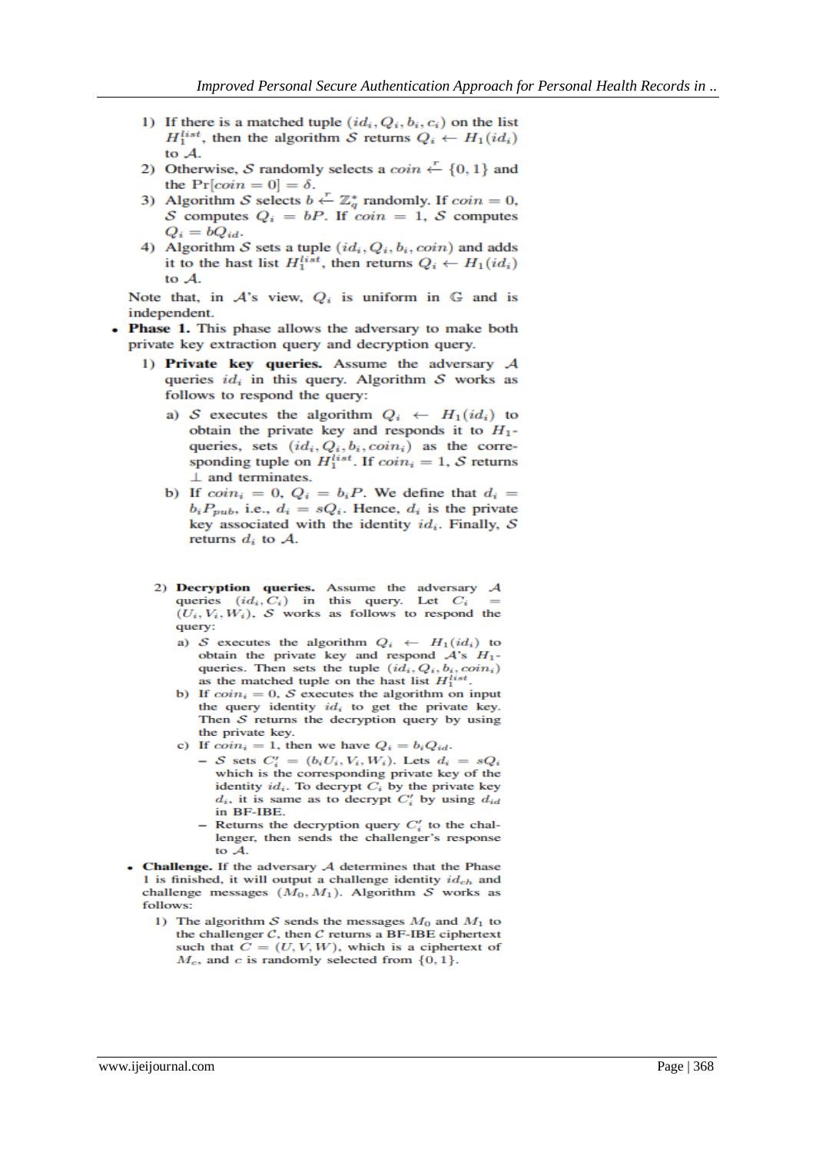- 1) If there is a matched tuple  $(id_i, Q_i, b_i, c_i)$  on the list  $H_1^{list}$ , then the algorithm S returns  $Q_i \leftarrow H_1(id_i)$ to A.
- 2) Otherwise, S randomly selects a  $\coin \leftarrow \{0, 1\}$  and the  $Pr[coin = 0] = \delta.$
- 3) Algorithm S selects  $b \leftarrow \mathbb{Z}_q^*$  randomly. If  $coin = 0$ , S computes  $Q_i = bP$ . If  $\overline{coin} = 1$ , S computes  $Q_i = bQ_{id}.$
- 4) Algorithm  $S$  sets a tuple  $(id_i, Q_i, b_i, coin)$  and adds it to the hast list  $H_1^{list}$ , then returns  $Q_i \leftarrow H_1(id_i)$ to A.

Note that, in  $A$ 's view,  $Q_i$  is uniform in  $G$  and is independent.

- Phase 1. This phase allows the adversary to make both private key extraction query and decryption query.
	- 1) Private key queries. Assume the adversary  $A$ queries  $id_i$  in this query. Algorithm  $S$  works as follows to respond the query:
		- a) S executes the algorithm  $Q_i \leftarrow H_1(id_i)$  to obtain the private key and responds it to  $H_1$ queries, sets  $(id_i, Q_i, b_i, coin_i)$  as the corresponding tuple on  $H_1^{list}$ . If  $coin_i = 1$ , S returns  $\perp$  and terminates.
		- b) If  $coin_i = 0$ ,  $Q_i = b_iP$ . We define that  $d_i =$  $b_i P_{pub}$ , i.e.,  $d_i = sQ_i$ . Hence,  $d_i$  is the private key associated with the identity  $id_i$ . Finally,  $S$ returns  $d_i$  to  $A$ .
		- 2) Decryption queries. Assume the adversary  $A$ queries  $(id_i, C_i)$  in this query. Let  $C_i$  $(U_i, V_i, W_i)$ , S works as follows to respond the query:
			- a) S executes the algorithm  $Q_i \leftarrow H_1(id_i)$  to obtain the private key and respond  $A$ 's  $H_1$ queries. Then sets the tuple  $(id_i, Q_i, b_i, coin_i)$ as the matched tuple on the hast list  $H_1^{list}$ .
			- b) If  $coin_i = 0$ , S executes the algorithm on input the query identity  $id_i$  to get the private key. Then  $S$  returns the decryption query by using the private key.
			- c) If  $coin_i = 1$ , then we have  $Q_i = b_i Q_{id}$ .
				- $-S$  sets  $C_i' = (b_i U_i, V_i, W_i)$ . Lets  $d_i = sQ_i$ which is the corresponding private key of the identity  $id_i$ . To decrypt  $C_i$  by the private key  $d_i$ , it is same as to decrypt  $C'_i$  by using  $d_{id}$ in BF-IBE.
				- Returns the decryption query  $C_i'$  to the challenger, then sends the challenger's response to  $\mathcal{A}$ .
	- **Challenge.** If the adversary  $A$  determines that the Phase 1 is finished, it will output a challenge identity  $id_{ch}$  and challenge messages  $(M_0, M_1)$ . Algorithm S works as follows:
		- 1) The algorithm  $S$  sends the messages  $M_0$  and  $M_1$  to the challenger  $C$ , then  $C$  returns a BF-IBE ciphertext such that  $C = (U, V, W)$ , which is a ciphertext of  $M_c$ , and c is randomly selected from  $\{0,1\}$ .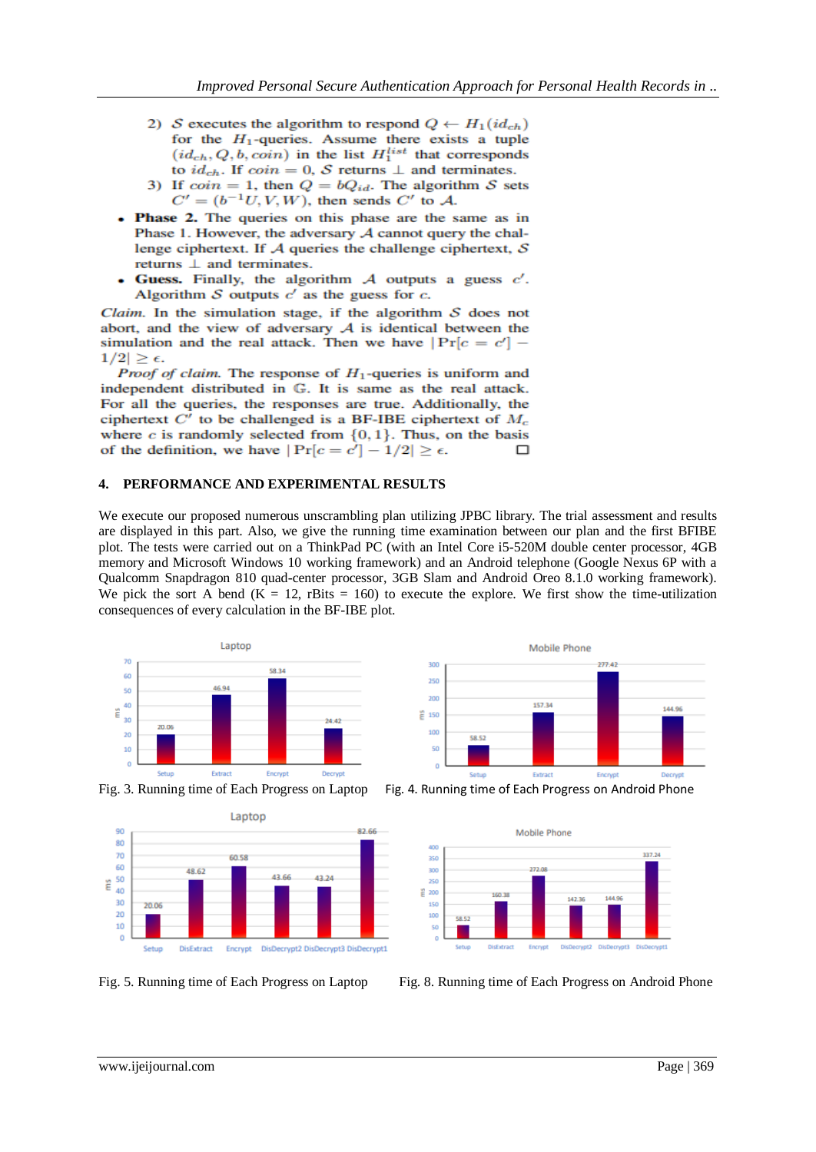- 2) S executes the algorithm to respond  $Q \leftarrow H_1(id_{ch})$ for the  $H_1$ -queries. Assume there exists a tuple  $(id_{ch}, Q, b, coin)$  in the list  $H_1^{list}$  that corresponds to  $id_{ch}$ . If  $coin = 0$ , S returns  $\perp$  and terminates.
- 3) If  $coin = 1$ , then  $Q = bQ_{id}$ . The algorithm S sets  $C' = (b^{-1}U, V, W)$ , then sends  $C'$  to A.
- Phase 2. The queries on this phase are the same as in Phase 1. However, the adversary  $A$  cannot query the challenge ciphertext. If  $A$  queries the challenge ciphertext,  $S$ returns  $\perp$  and terminates.
- Guess. Finally, the algorithm  $A$  outputs a guess  $c'$ . Algorithm  $S$  outputs  $c'$  as the guess for  $c$ .

Claim. In the simulation stage, if the algorithm  $S$  does not abort, and the view of adversary  $A$  is identical between the simulation and the real attack. Then we have  $|Pr[c = c'] 1/2$  >  $\epsilon$ .

*Proof of claim.* The response of  $H_1$ -queries is uniform and independent distributed in G. It is same as the real attack. For all the queries, the responses are true. Additionally, the ciphertext  $C'$  to be challenged is a BF-IBE ciphertext of  $M_c$ where  $c$  is randomly selected from  $\{0, 1\}$ . Thus, on the basis of the definition, we have  $|\Pr[c = c'] - 1/2| \ge \epsilon$ .  $\Box$ 

## **4. PERFORMANCE AND EXPERIMENTAL RESULTS**

We execute our proposed numerous unscrambling plan utilizing JPBC library. The trial assessment and results are displayed in this part. Also, we give the running time examination between our plan and the first BFIBE plot. The tests were carried out on a ThinkPad PC (with an Intel Core i5-520M double center processor, 4GB memory and Microsoft Windows 10 working framework) and an Android telephone (Google Nexus 6P with a Qualcomm Snapdragon 810 quad-center processor, 3GB Slam and Android Oreo 8.1.0 working framework). We pick the sort A bend ( $K = 12$ , rBits = 160) to execute the explore. We first show the time-utilization consequences of every calculation in the BF-IBE plot.







Fig. 3. Running time of Each Progress on Laptop Fig. 4. Running time of Each Progress on Android Phone



Fig. 5. Running time of Each Progress on Laptop Fig. 8. Running time of Each Progress on Android Phone